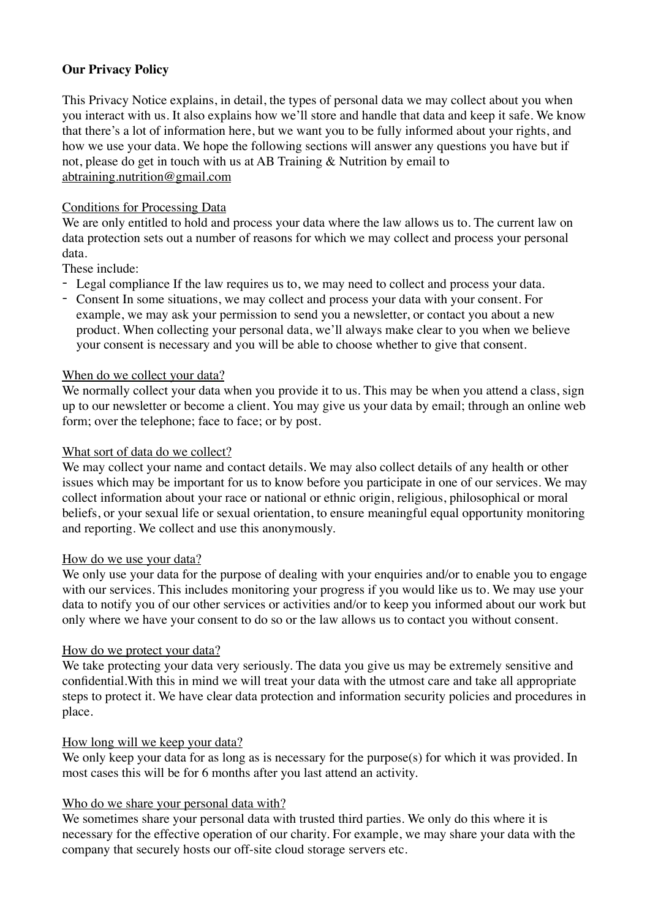# **Our Privacy Policy**

This Privacy Notice explains, in detail, the types of personal data we may collect about you when you interact with us. It also explains how we'll store and handle that data and keep it safe. We know that there's a lot of information here, but we want you to be fully informed about your rights, and how we use your data. We hope the following sections will answer any questions you have but if not, please do get in touch with us at AB Training & Nutrition by email to [abtraining.nutrition@gmail.com](mailto:abtraining.nutrition@gmail.com)

### Conditions for Processing Data

We are only entitled to hold and process your data where the law allows us to. The current law on data protection sets out a number of reasons for which we may collect and process your personal data.

These include:

- Legal compliance If the law requires us to, we may need to collect and process your data.
- Consent In some situations, we may collect and process your data with your consent. For example, we may ask your permission to send you a newsletter, or contact you about a new product. When collecting your personal data, we'll always make clear to you when we believe your consent is necessary and you will be able to choose whether to give that consent.

### When do we collect your data?

We normally collect your data when you provide it to us. This may be when you attend a class, sign up to our newsletter or become a client. You may give us your data by email; through an online web form; over the telephone; face to face; or by post.

#### What sort of data do we collect?

We may collect your name and contact details. We may also collect details of any health or other issues which may be important for us to know before you participate in one of our services. We may collect information about your race or national or ethnic origin, religious, philosophical or moral beliefs, or your sexual life or sexual orientation, to ensure meaningful equal opportunity monitoring and reporting. We collect and use this anonymously.

### How do we use your data?

We only use your data for the purpose of dealing with your enquiries and/or to enable you to engage with our services. This includes monitoring your progress if you would like us to. We may use your data to notify you of our other services or activities and/or to keep you informed about our work but only where we have your consent to do so or the law allows us to contact you without consent.

### How do we protect your data?

We take protecting your data very seriously. The data you give us may be extremely sensitive and confidential.With this in mind we will treat your data with the utmost care and take all appropriate steps to protect it. We have clear data protection and information security policies and procedures in place.

### How long will we keep your data?

We only keep your data for as long as is necessary for the purpose(s) for which it was provided. In most cases this will be for 6 months after you last attend an activity.

### Who do we share your personal data with?

We sometimes share your personal data with trusted third parties. We only do this where it is necessary for the effective operation of our charity. For example, we may share your data with the company that securely hosts our off-site cloud storage servers etc.